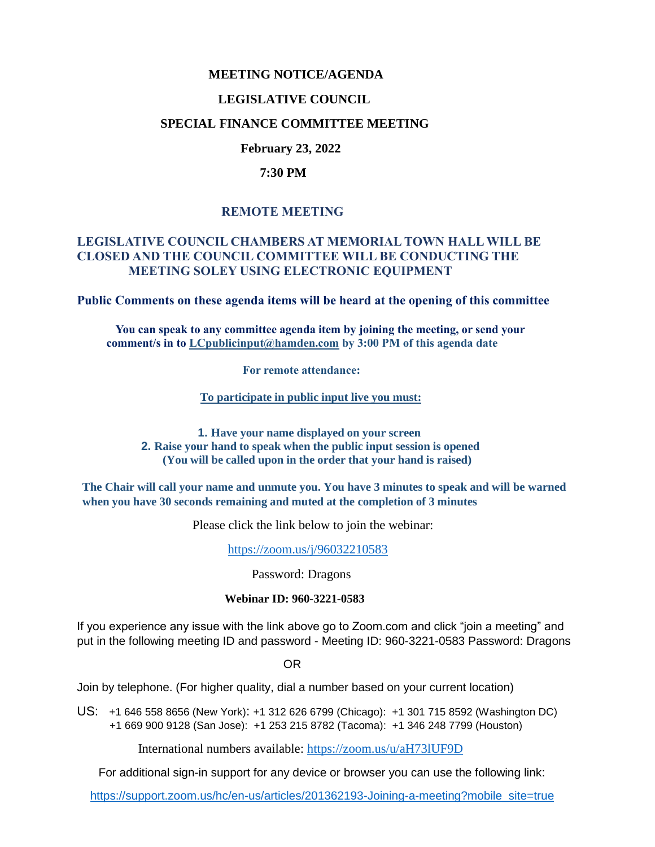## **MEETING NOTICE/AGENDA**

#### **LEGISLATIVE COUNCIL**

#### **SPECIAL FINANCE COMMITTEE MEETING**

### **February 23, 2022**

#### **7:30 PM**

## **REMOTE MEETING**

## **LEGISLATIVE COUNCIL CHAMBERS AT MEMORIAL TOWN HALL WILL BE CLOSED AND THE COUNCIL COMMITTEE WILL BE CONDUCTING THE MEETING SOLEY USING ELECTRONIC EQUIPMENT**

**Public Comments on these agenda items will be heard at the opening of this committee** 

 **You can speak to any committee agenda item by joining the meeting, or send your comment/s in to [LCpublicinput@hamden.com](mailto:LCpublicinput@hamden.com) by 3:00 PM of this agenda date**

 **For remote attendance:**

**To participate in public input live you must:**

**1. Have your name displayed on your screen 2. Raise your hand to speak when the public input session is opened (You will be called upon in the order that your hand is raised)**

**The Chair will call your name and unmute you. You have 3 minutes to speak and will be warned when you have 30 seconds remaining and muted at the completion of 3 minutes**

Please click the link below to join the webinar:

<https://zoom.us/j/96032210583>

Password: Dragons

#### **Webinar ID: 960-3221-0583**

If you experience any issue with the link above go to Zoom.com and click "join a meeting" and put in the following meeting ID and password - Meeting ID: 960-3221-0583 Password: Dragons

OR

Join by telephone. (For higher quality, dial a number based on your current location)

US: [+1 646 558 8656 \(New York\)](tel:+16465588656): [+1 312 626 6799 \(Chicago\):](tel:+13126266799) [+1 301 715 8592 \(Washington DC\)](tel:+13017158592) +1 669 900 9128 (San Jose): [+1 253 215 8782 \(Tacoma\):](tel:+12532158782) [+1 346 248 7799 \(Houston\)](tel:+13462487799)

International numbers available:<https://zoom.us/u/aH73lUF9D>

For additional sign-in support for any device or browser you can use the following link:

[https://support.zoom.us/hc/en-us/articles/201362193-Joining-a-meeting?mobile\\_site=true](https://support.zoom.us/hc/en-us/articles/201362193-Joining-a-meeting?mobile_site=true)